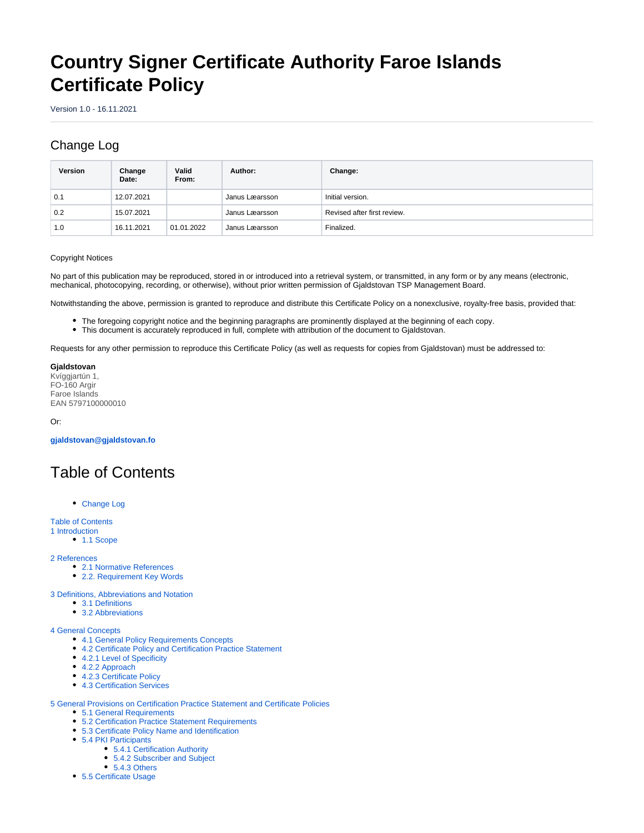# **Country Signer Certificate Authority Faroe Islands Certificate Policy**

Version 1.0 - 16.11.2021

# <span id="page-0-0"></span>Change Log

| Version | Change<br>Date: | Valid<br>From: | Author:        | Change:                     |
|---------|-----------------|----------------|----------------|-----------------------------|
| 0.1     | 12.07.2021      |                | Janus Læarsson | Initial version.            |
| 0.2     | 15.07.2021      |                | Janus Læarsson | Revised after first review. |
| 1.0     | 16.11.2021      | 01.01.2022     | Janus Læarsson | Finalized.                  |

#### Copyright Notices

No part of this publication may be reproduced, stored in or introduced into a retrieval system, or transmitted, in any form or by any means (electronic, mechanical, photocopying, recording, or otherwise), without prior written permission of Gjaldstovan TSP Management Board.

Notwithstanding the above, permission is granted to reproduce and distribute this Certificate Policy on a nonexclusive, royalty-free basis, provided that:

- The foregoing copyright notice and the beginning paragraphs are prominently displayed at the beginning of each copy.
- This document is accurately reproduced in full, complete with attribution of the document to Gjaldstovan.

Requests for any other permission to reproduce this Certificate Policy (as well as requests for copies from Gjaldstovan) must be addressed to:

**Gjaldstovan** Kvíggjartún 1, FO-160 Argir Faroe Islands EAN 5797100000010

Or:

**[gjaldstovan@gjaldstovan.fo](mailto:gjaldstovan@gjaldstovan.fo)**

# <span id="page-0-1"></span>Table of Contents

[Change Log](#page-0-0)

[Table of Contents](#page-0-1)

- [1 Introduction](#page-1-0)
	- [1.1 Scope](#page-1-1)

[2 References](#page-2-0)

- [2.1 Normative References](#page-2-1)
- [2.2. Requirement Key Words](#page-2-2)

[3 Definitions, Abbreviations and Notation](#page-2-3)

- [3.1 Definitions](#page-2-4)
- [3.2 Abbreviations](#page-3-0)

#### [4 General Concepts](#page-3-1)

- [4.1 General Policy Requirements Concepts](#page-3-2)
- [4.2 Certificate Policy and Certification Practice Statement](#page-4-0)
- [4.2.1 Level of Specificity](#page-4-1)
- [4.2.2 Approach](#page-4-2)
- [4.2.3 Certificate Policy](#page-5-0)
- [4.3 Certification Services](#page-5-1)

[5 General Provisions on Certification Practice Statement and Certificate Policies](#page-6-0)

- [5.1 General Requirements](#page-6-1)
- [5.2 Certification Practice Statement Requirements](#page-6-2)
- [5.3 Certificate Policy Name and Identification](#page-6-3)
- [5.4 PKI Participants](#page-6-4)
	- [5.4.1 Certification Authority](#page-6-5) • [5.4.2 Subscriber and Subject](#page-6-6)
	- [5.4.3 Others](#page-7-0)
- [5.5 Certificate Usage](#page-7-1)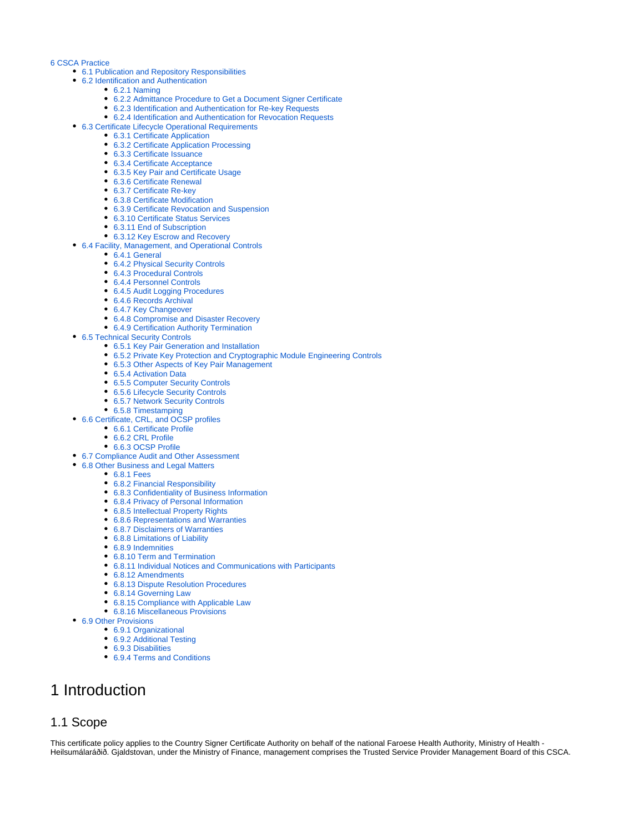#### [6 CSCA Practice](#page-7-2)

- [6.1 Publication and Repository Responsibilities](#page-7-3)
- [6.2 Identification and Authentication](#page-7-4)
	- [6.2.1 Naming](#page-7-5)
	- [6.2.2 Admittance Procedure to Get a Document Signer Certificate](#page-7-6)
	- [6.2.3 Identification and Authentication for Re-key Requests](#page-7-7)
	- [6.2.4 Identification and Authentication for Revocation Requests](#page-8-0)
- [6.3 Certificate Lifecycle Operational Requirements](#page-8-1)
	- [6.3.1 Certificate Application](#page-8-2)
		- [6.3.2 Certificate Application Processing](#page-8-3)
		- [6.3.3 Certificate Issuance](#page-8-4)
		- [6.3.4 Certificate Acceptance](#page-9-0)
		- [6.3.5 Key Pair and Certificate Usage](#page-9-1)
		- [6.3.6 Certificate Renewal](#page-10-0)
		- [6.3.7 Certificate Re-key](#page-10-1)
		- [6.3.8 Certificate Modification](#page-10-2)
		- [6.3.9 Certificate Revocation and Suspension](#page-10-3) [6.3.10 Certificate Status Services](#page-10-4)
		- [6.3.11 End of Subscription](#page-11-0)
		- [6.3.12 Key Escrow and Recovery](#page-11-1)
- [6.4 Facility, Management, and Operational Controls](#page-11-2)
- [6.4.1 General](#page-11-3)
	- [6.4.2 Physical Security Controls](#page-12-0)
	- [6.4.3 Procedural Controls](#page-12-1)
	- [6.4.4 Personnel Controls](#page-12-2)
	- [6.4.5 Audit Logging Procedures](#page-13-0)
	- [6.4.6 Records Archival](#page-14-0)
	- [6.4.7 Key Changeover](#page-14-1)
	- [6.4.8 Compromise and Disaster Recovery](#page-14-2)
	- [6.4.9 Certification Authority Termination](#page-15-0)
- [6.5 Technical Security Controls](#page-15-1)
	- [6.5.1 Key Pair Generation and Installation](#page-15-2)
	- [6.5.2 Private Key Protection and Cryptographic Module Engineering Controls](#page-16-0)
	- **[6.5.3 Other Aspects of Key Pair Management](#page-16-1)**
	- [6.5.4 Activation Data](#page-17-0)
	- [6.5.5 Computer Security Controls](#page-17-1)
	- [6.5.6 Lifecycle Security Controls](#page-17-2)
	- [6.5.7 Network Security Controls](#page-17-3)
	- [6.5.8 Timestamping](#page-17-4)
- [6.6 Certificate, CRL, and OCSP profiles](#page-17-5)
	- [6.6.1 Certificate Profile](#page-17-6)
		- [6.6.2 CRL Profile](#page-18-0)
		- [6.6.3 OCSP Profile](#page-18-1)
- [6.7 Compliance Audit and Other Assessment](#page-18-2)
- [6.8 Other Business and Legal Matters](#page-18-3)
	- **[6.8.1 Fees](#page-18-4)**
	- [6.8.2 Financial Responsibility](#page-18-5)
	- [6.8.3 Confidentiality of Business Information](#page-18-6)
	- [6.8.4 Privacy of Personal Information](#page-18-7)
	- [6.8.5 Intellectual Property Rights](#page-18-8)
	- [6.8.6 Representations and Warranties](#page-18-9)
	- [6.8.7 Disclaimers of Warranties](#page-18-10)
	- [6.8.8 Limitations of Liability](#page-18-11)
	- [6.8.9 Indemnities](#page-18-12)
	- [6.8.10 Term and Termination](#page-19-0)
	- [6.8.11 Individual Notices and Communications with Participants](#page-19-1)
	- [6.8.12 Amendments](#page-19-2)
	- [6.8.13 Dispute Resolution Procedures](#page-19-3)
	- [6.8.14 Governing Law](#page-19-4)
	- [6.8.15 Compliance with Applicable Law](#page-19-5)
	- [6.8.16 Miscellaneous Provisions](#page-19-6)
- [6.9 Other Provisions](#page-19-7)
	- [6.9.1 Organizational](#page-19-8)
	- [6.9.2 Additional Testing](#page-20-0)
	- [6.9.3 Disabilities](#page-20-1)
	- [6.9.4 Terms and Conditions](#page-20-2)

# <span id="page-1-0"></span>1 Introduction

# <span id="page-1-1"></span>1.1 Scope

This certificate policy applies to the Country Signer Certificate Authority on behalf of the national Faroese Health Authority, Ministry of Health -Heilsumálaráðið. Gjaldstovan, under the Ministry of Finance, management comprises the Trusted Service Provider Management Board of this CSCA.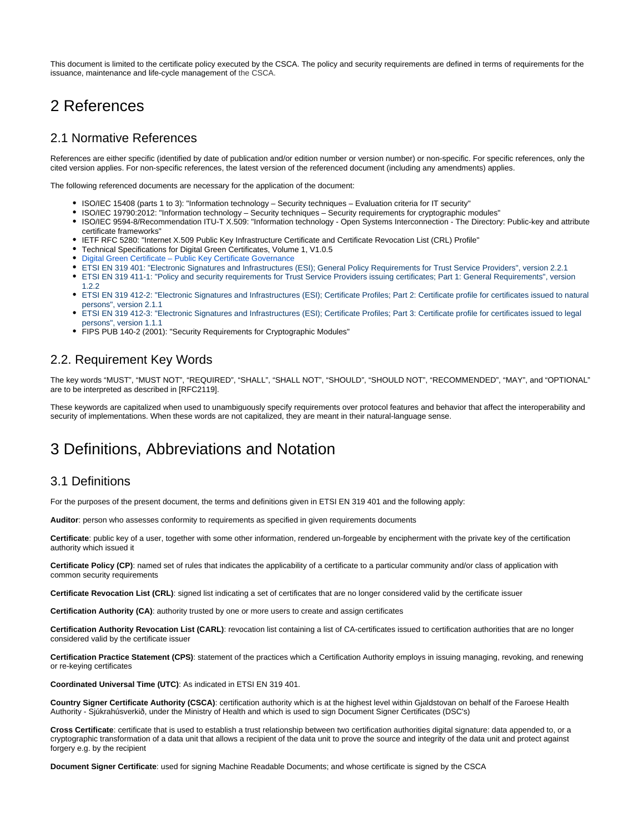This document is limited to the certificate policy executed by the CSCA. The policy and security requirements are defined in terms of requirements for the issuance, maintenance and life-cycle management of the CSCA.

# <span id="page-2-0"></span>2 References

## <span id="page-2-1"></span>2.1 Normative References

References are either specific (identified by date of publication and/or edition number or version number) or non-specific. For specific references, only the cited version applies. For non-specific references, the latest version of the referenced document (including any amendments) applies.

The following referenced documents are necessary for the application of the document:

- ISO/IEC 15408 (parts 1 to 3): "Information technology Security techniques Evaluation criteria for IT security"
- ISO/IEC 19790:2012: "Information technology Security techniques Security requirements for cryptographic modules"
- ISO/IEC 9594-8/Recommendation ITU-T X.509: "Information technology Open Systems Interconnection The Directory: Public-key and attribute certificate frameworks"
- IETF RFC 5280: "Internet X.509 Public Key Infrastructure Certificate and Certificate Revocation List (CRL) Profile"
- Technical Specifications for Digital Green Certificates, Volume 1, V1.0.5
- [Digital Green Certificate Public Key Certificate Governance](https://github.com/eu-digital-green-certificates/dgc-overview/blob/main/guides/certificate-governance.md)
- ETSI EN 319 401: "Electronic Signatures and Infrastructures (ESI); General Policy Requirements for Trust Service Providers", version 2.2.1
- ETSI EN 319 411-1: "Policy and security requirements for Trust Service Providers issuing certificates; Part 1: General Requirements", version 1.2.2
- ETSI EN 319 412-2: "Electronic Signatures and Infrastructures (ESI); Certificate Profiles; Part 2: Certificate profile for certificates issued to natural persons", version 2.1.1
- ETSI EN 319 412-3: "Electronic Signatures and Infrastructures (ESI); Certificate Profiles; Part 3: Certificate profile for certificates issued to legal persons", version 1.1.1
- FIPS PUB 140-2 (2001): "Security Requirements for Cryptographic Modules"

# <span id="page-2-2"></span>2.2. Requirement Key Words

The key words "MUST", "MUST NOT", "REQUIRED", "SHALL", "SHALL NOT", "SHOULD", "SHOULD NOT", "RECOMMENDED", "MAY", and "OPTIONAL" are to be interpreted as described in [RFC2119].

These keywords are capitalized when used to unambiguously specify requirements over protocol features and behavior that affect the interoperability and security of implementations. When these words are not capitalized, they are meant in their natural-language sense.

# <span id="page-2-3"></span>3 Definitions, Abbreviations and Notation

## <span id="page-2-4"></span>3.1 Definitions

For the purposes of the present document, the terms and definitions given in ETSI EN 319 401 and the following apply:

**Auditor**: person who assesses conformity to requirements as specified in given requirements documents

**Certificate**: public key of a user, together with some other information, rendered un-forgeable by encipherment with the private key of the certification authority which issued it

**Certificate Policy (CP)**: named set of rules that indicates the applicability of a certificate to a particular community and/or class of application with common security requirements

**Certificate Revocation List (CRL)**: signed list indicating a set of certificates that are no longer considered valid by the certificate issuer

**Certification Authority (CA)**: authority trusted by one or more users to create and assign certificates

**Certification Authority Revocation List (CARL)**: revocation list containing a list of CA-certificates issued to certification authorities that are no longer considered valid by the certificate issuer

**Certification Practice Statement (CPS)**: statement of the practices which a Certification Authority employs in issuing managing, revoking, and renewing or re-keying certificates

**Coordinated Universal Time (UTC)**: As indicated in ETSI EN 319 401.

**Country Signer Certificate Authority (CSCA)**: certification authority which is at the highest level within Gjaldstovan on behalf of the Faroese Health Authority - Sjúkrahúsverkið, under the Ministry of Health and which is used to sign Document Signer Certificates (DSC's)

**Cross Certificate**: certificate that is used to establish a trust relationship between two certification authorities digital signature: data appended to, or a cryptographic transformation of a data unit that allows a recipient of the data unit to prove the source and integrity of the data unit and protect against forgery e.g. by the recipient

**Document Signer Certificate**: used for signing Machine Readable Documents; and whose certificate is signed by the CSCA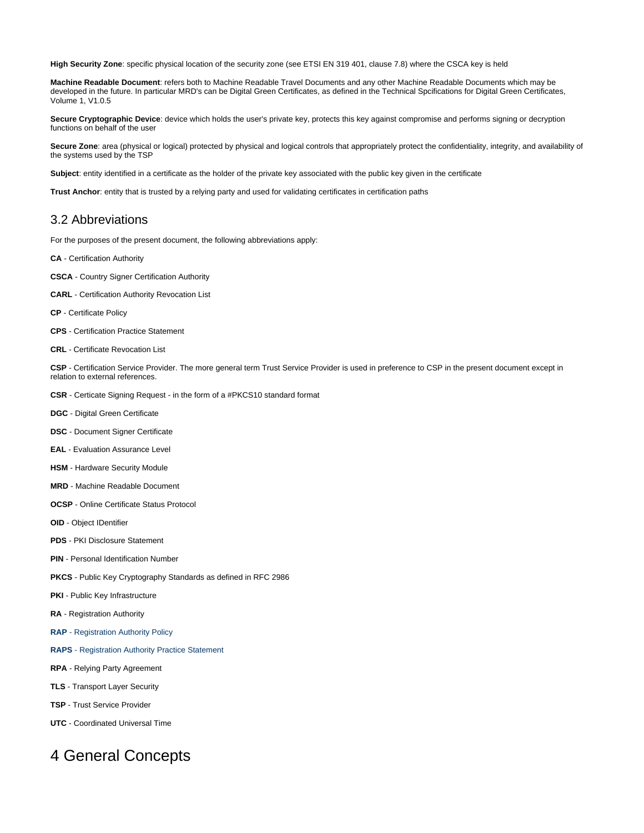**High Security Zone**: specific physical location of the security zone (see ETSI EN 319 401, clause 7.8) where the CSCA key is held

**Machine Readable Document**: refers both to Machine Readable Travel Documents and any other Machine Readable Documents which may be developed in the future. In particular MRD's can be Digital Green Certificates, as defined in the Technical Spcifications for Digital Green Certificates, Volume 1, V1.0.5

**Secure Cryptographic Device**: device which holds the user's private key, protects this key against compromise and performs signing or decryption functions on behalf of the user

**Secure Zone**: area (physical or logical) protected by physical and logical controls that appropriately protect the confidentiality, integrity, and availability of the systems used by the TSP

**Subject**: entity identified in a certificate as the holder of the private key associated with the public key given in the certificate

**Trust Anchor**: entity that is trusted by a relying party and used for validating certificates in certification paths

## <span id="page-3-0"></span>3.2 Abbreviations

For the purposes of the present document, the following abbreviations apply:

- **CA** Certification Authority
- **CSCA** Country Signer Certification Authority
- **CARL** Certification Authority Revocation List
- **CP** Certificate Policy
- **CPS** Certification Practice Statement
- **CRL** Certificate Revocation List

**CSP** - Certification Service Provider. The more general term Trust Service Provider is used in preference to CSP in the present document except in relation to external references.

- **CSR** Certicate Signing Request in the form of a #PKCS10 standard format
- **DGC**  Digital Green Certificate
- **DSC**  Document Signer Certificate
- **EAL**  Evaluation Assurance Level
- **HSM**  Hardware Security Module
- **MRD**  Machine Readable Document
- **OCSP**  Online Certificate Status Protocol
- **OID**  Object IDentifier
- **PDS**  PKI Disclosure Statement
- **PIN**  Personal Identification Number
- **PKCS**  Public Key Cryptography Standards as defined in RFC 2986
- **PKI** Public Key Infrastructure
- **RA**  Registration Authority
- **RAP** Registration Authority Policy
- **RAPS**  Registration Authority Practice Statement
- **RPA**  Relying Party Agreement
- **TLS** Transport Layer Security
- **TSP** Trust Service Provider
- **UTC**  Coordinated Universal Time

# <span id="page-3-2"></span><span id="page-3-1"></span>4 General Concepts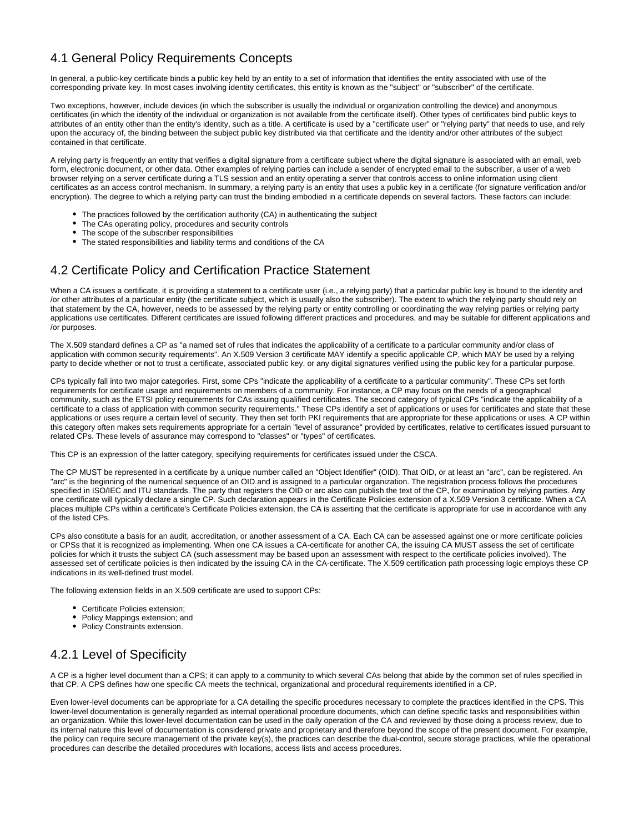# 4.1 General Policy Requirements Concepts

In general, a public-key certificate binds a public key held by an entity to a set of information that identifies the entity associated with use of the corresponding private key. In most cases involving identity certificates, this entity is known as the "subject" or "subscriber" of the certificate.

Two exceptions, however, include devices (in which the subscriber is usually the individual or organization controlling the device) and anonymous certificates (in which the identity of the individual or organization is not available from the certificate itself). Other types of certificates bind public keys to attributes of an entity other than the entity's identity, such as a title. A certificate is used by a "certificate user" or "relying party" that needs to use, and rely upon the accuracy of, the binding between the subject public key distributed via that certificate and the identity and/or other attributes of the subject contained in that certificate.

A relying party is frequently an entity that verifies a digital signature from a certificate subject where the digital signature is associated with an email, web form, electronic document, or other data. Other examples of relying parties can include a sender of encrypted email to the subscriber, a user of a web browser relying on a server certificate during a TLS session and an entity operating a server that controls access to online information using client certificates as an access control mechanism. In summary, a relying party is an entity that uses a public key in a certificate (for signature verification and/or encryption). The degree to which a relying party can trust the binding embodied in a certificate depends on several factors. These factors can include:

- The practices followed by the certification authority (CA) in authenticating the subject
- The CAs operating policy, procedures and security controls
- The scope of the subscriber responsibilities
- The stated responsibilities and liability terms and conditions of the CA

# <span id="page-4-0"></span>4.2 Certificate Policy and Certification Practice Statement

When a CA issues a certificate, it is providing a statement to a certificate user (i.e., a relying party) that a particular public key is bound to the identity and /or other attributes of a particular entity (the certificate subject, which is usually also the subscriber). The extent to which the relying party should rely on that statement by the CA, however, needs to be assessed by the relying party or entity controlling or coordinating the way relying parties or relying party applications use certificates. Different certificates are issued following different practices and procedures, and may be suitable for different applications and /or purposes.

The X.509 standard defines a CP as "a named set of rules that indicates the applicability of a certificate to a particular community and/or class of application with common security requirements". An X.509 Version 3 certificate MAY identify a specific applicable CP, which MAY be used by a relying party to decide whether or not to trust a certificate, associated public key, or any digital signatures verified using the public key for a particular purpose.

CPs typically fall into two major categories. First, some CPs "indicate the applicability of a certificate to a particular community". These CPs set forth requirements for certificate usage and requirements on members of a community. For instance, a CP may focus on the needs of a geographical community, such as the ETSI policy requirements for CAs issuing qualified certificates. The second category of typical CPs "indicate the applicability of a certificate to a class of application with common security requirements." These CPs identify a set of applications or uses for certificates and state that these applications or uses require a certain level of security. They then set forth PKI requirements that are appropriate for these applications or uses. A CP within this category often makes sets requirements appropriate for a certain "level of assurance" provided by certificates, relative to certificates issued pursuant to related CPs. These levels of assurance may correspond to "classes" or "types" of certificates.

This CP is an expression of the latter category, specifying requirements for certificates issued under the CSCA.

The CP MUST be represented in a certificate by a unique number called an "Object Identifier" (OID). That OID, or at least an "arc", can be registered. An "arc" is the beginning of the numerical sequence of an OID and is assigned to a particular organization. The registration process follows the procedures specified in ISO/IEC and ITU standards. The party that registers the OID or arc also can publish the text of the CP, for examination by relying parties. Any one certificate will typically declare a single CP. Such declaration appears in the Certificate Policies extension of a X.509 Version 3 certificate. When a CA places multiple CPs within a certificate's Certificate Policies extension, the CA is asserting that the certificate is appropriate for use in accordance with any of the listed CPs.

CPs also constitute a basis for an audit, accreditation, or another assessment of a CA. Each CA can be assessed against one or more certificate policies or CPSs that it is recognized as implementing. When one CA issues a CA-certificate for another CA, the issuing CA MUST assess the set of certificate policies for which it trusts the subject CA (such assessment may be based upon an assessment with respect to the certificate policies involved). The assessed set of certificate policies is then indicated by the issuing CA in the CA-certificate. The X.509 certification path processing logic employs these CP indications in its well-defined trust model.

The following extension fields in an X.509 certificate are used to support CPs:

- Certificate Policies extension;
- Policy Mappings extension; and
- Policy Constraints extension.

# <span id="page-4-1"></span>4.2.1 Level of Specificity

A CP is a higher level document than a CPS; it can apply to a community to which several CAs belong that abide by the common set of rules specified in that CP. A CPS defines how one specific CA meets the technical, organizational and procedural requirements identified in a CP.

<span id="page-4-2"></span>Even lower-level documents can be appropriate for a CA detailing the specific procedures necessary to complete the practices identified in the CPS. This lower-level documentation is generally regarded as internal operational procedure documents, which can define specific tasks and responsibilities within an organization. While this lower-level documentation can be used in the daily operation of the CA and reviewed by those doing a process review, due to its internal nature this level of documentation is considered private and proprietary and therefore beyond the scope of the present document. For example, the policy can require secure management of the private key(s), the practices can describe the dual-control, secure storage practices, while the operational procedures can describe the detailed procedures with locations, access lists and access procedures.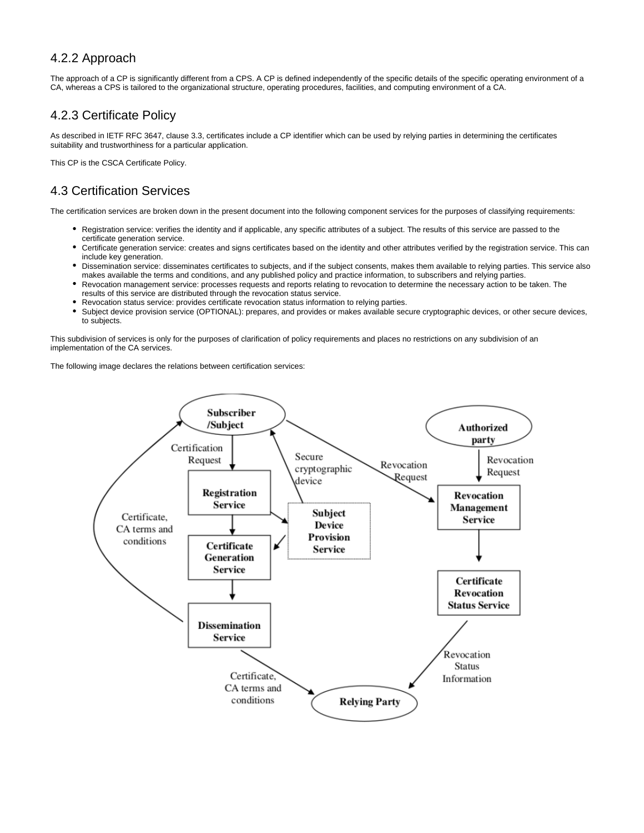# 4.2.2 Approach

The approach of a CP is significantly different from a CPS. A CP is defined independently of the specific details of the specific operating environment of a CA, whereas a CPS is tailored to the organizational structure, operating procedures, facilities, and computing environment of a CA.

# <span id="page-5-0"></span>4.2.3 Certificate Policy

As described in IETF RFC 3647, clause 3.3, certificates include a CP identifier which can be used by relying parties in determining the certificates suitability and trustworthiness for a particular application.

This CP is the CSCA Certificate Policy.

# <span id="page-5-1"></span>4.3 Certification Services

The certification services are broken down in the present document into the following component services for the purposes of classifying requirements:

- Registration service: verifies the identity and if applicable, any specific attributes of a subject. The results of this service are passed to the certificate generation service.
- Certificate generation service: creates and signs certificates based on the identity and other attributes verified by the registration service. This can include key generation.
- Dissemination service: disseminates certificates to subjects, and if the subject consents, makes them available to relying parties. This service also makes available the terms and conditions, and any published policy and practice information, to subscribers and relying parties.
- Revocation management service: processes requests and reports relating to revocation to determine the necessary action to be taken. The results of this service are distributed through the revocation status service.
- Revocation status service: provides certificate revocation status information to relying parties.
- Subject device provision service (OPTIONAL): prepares, and provides or makes available secure cryptographic devices, or other secure devices, to subjects.

This subdivision of services is only for the purposes of clarification of policy requirements and places no restrictions on any subdivision of an implementation of the CA services.

The following image declares the relations between certification services:

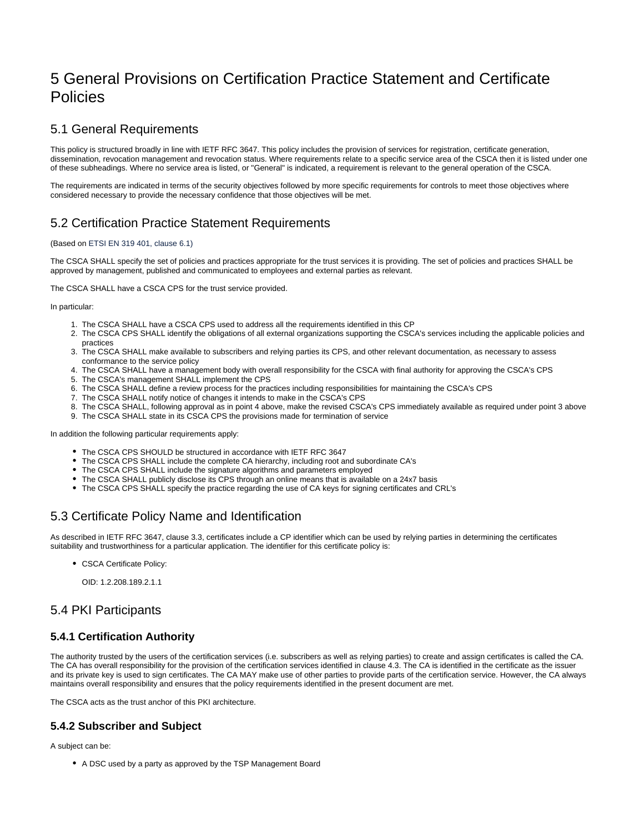# <span id="page-6-0"></span>5 General Provisions on Certification Practice Statement and Certificate Policies

# <span id="page-6-1"></span>5.1 General Requirements

This policy is structured broadly in line with IETF RFC 3647. This policy includes the provision of services for registration, certificate generation, dissemination, revocation management and revocation status. Where requirements relate to a specific service area of the CSCA then it is listed under one of these subheadings. Where no service area is listed, or "General" is indicated, a requirement is relevant to the general operation of the CSCA.

The requirements are indicated in terms of the security objectives followed by more specific requirements for controls to meet those objectives where considered necessary to provide the necessary confidence that those objectives will be met.

# <span id="page-6-2"></span>5.2 Certification Practice Statement Requirements

#### (Based on ETSI EN 319 401, clause 6.1)

The CSCA SHALL specify the set of policies and practices appropriate for the trust services it is providing. The set of policies and practices SHALL be approved by management, published and communicated to employees and external parties as relevant.

The CSCA SHALL have a CSCA CPS for the trust service provided.

#### In particular:

- 1. The CSCA SHALL have a CSCA CPS used to address all the requirements identified in this CP
- 2. The CSCA CPS SHALL identify the obligations of all external organizations supporting the CSCA's services including the applicable policies and practices
- 3. The CSCA SHALL make available to subscribers and relying parties its CPS, and other relevant documentation, as necessary to assess conformance to the service policy
- 4. The CSCA SHALL have a management body with overall responsibility for the CSCA with final authority for approving the CSCA's CPS
- 5. The CSCA's management SHALL implement the CPS
- 6. The CSCA SHALL define a review process for the practices including responsibilities for maintaining the CSCA's CPS
- 7. The CSCA SHALL notify notice of changes it intends to make in the CSCA's CPS
- 8. The CSCA SHALL, following approval as in point 4 above, make the revised CSCA's CPS immediately available as required under point 3 above 9. The CSCA SHALL state in its CSCA CPS the provisions made for termination of service

In addition the following particular requirements apply:

- The CSCA CPS SHOULD be structured in accordance with IETF RFC 3647
- The CSCA CPS SHALL include the complete CA hierarchy, including root and subordinate CA's
- The CSCA CPS SHALL include the signature algorithms and parameters employed
- The CSCA SHALL publicly disclose its CPS through an online means that is available on a 24x7 basis
- The CSCA CPS SHALL specify the practice regarding the use of CA keys for signing certificates and CRL's

# <span id="page-6-3"></span>5.3 Certificate Policy Name and Identification

As described in IETF RFC 3647, clause 3.3, certificates include a CP identifier which can be used by relying parties in determining the certificates suitability and trustworthiness for a particular application. The identifier for this certificate policy is:

CSCA Certificate Policy:

OID: 1.2.208.189.2.1.1

# <span id="page-6-4"></span>5.4 PKI Participants

# <span id="page-6-5"></span>**5.4.1 Certification Authority**

The authority trusted by the users of the certification services (i.e. subscribers as well as relying parties) to create and assign certificates is called the CA. The CA has overall responsibility for the provision of the certification services identified in clause 4.3. The CA is identified in the certificate as the issuer and its private key is used to sign certificates. The CA MAY make use of other parties to provide parts of the certification service. However, the CA always maintains overall responsibility and ensures that the policy requirements identified in the present document are met.

The CSCA acts as the trust anchor of this PKI architecture.

## <span id="page-6-6"></span>**5.4.2 Subscriber and Subject**

A subject can be:

A DSC used by a party as approved by the TSP Management Board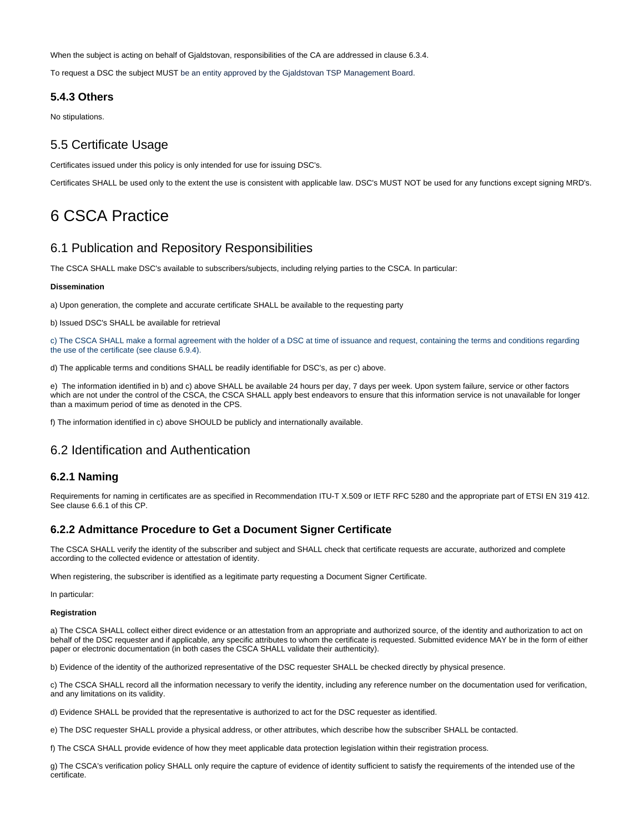When the subject is acting on behalf of Gjaldstovan, responsibilities of the CA are addressed in clause 6.3.4.

To request a DSC the subject MUST be an entity approved by the Gjaldstovan TSP Management Board.

### <span id="page-7-0"></span>**5.4.3 Others**

No stipulations.

## <span id="page-7-1"></span>5.5 Certificate Usage

Certificates issued under this policy is only intended for use for issuing DSC's.

Certificates SHALL be used only to the extent the use is consistent with applicable law. DSC's MUST NOT be used for any functions except signing MRD's.

# <span id="page-7-2"></span>6 CSCA Practice

## <span id="page-7-3"></span>6.1 Publication and Repository Responsibilities

The CSCA SHALL make DSC's available to subscribers/subjects, including relying parties to the CSCA. In particular:

#### **Dissemination**

a) Upon generation, the complete and accurate certificate SHALL be available to the requesting party

b) Issued DSC's SHALL be available for retrieval

c) The CSCA SHALL make a formal agreement with the holder of a DSC at time of issuance and request, containing the terms and conditions regarding the use of the certificate (see clause 6.9.4).

d) The applicable terms and conditions SHALL be readily identifiable for DSC's, as per c) above.

e) The information identified in b) and c) above SHALL be available 24 hours per day, 7 days per week. Upon system failure, service or other factors which are not under the control of the CSCA, the CSCA SHALL apply best endeavors to ensure that this information service is not unavailable for longer than a maximum period of time as denoted in the CPS.

f) The information identified in c) above SHOULD be publicly and internationally available.

## <span id="page-7-4"></span>6.2 Identification and Authentication

#### <span id="page-7-5"></span>**6.2.1 Naming**

Requirements for naming in certificates are as specified in Recommendation ITU-T X.509 or IETF RFC 5280 and the appropriate part of ETSI EN 319 412. See clause 6.6.1 of this CP.

#### <span id="page-7-6"></span>**6.2.2 Admittance Procedure to Get a Document Signer Certificate**

The CSCA SHALL verify the identity of the subscriber and subject and SHALL check that certificate requests are accurate, authorized and complete according to the collected evidence or attestation of identity.

When registering, the subscriber is identified as a legitimate party requesting a Document Signer Certificate.

In particular:

#### **Registration**

a) The CSCA SHALL collect either direct evidence or an attestation from an appropriate and authorized source, of the identity and authorization to act on behalf of the DSC requester and if applicable, any specific attributes to whom the certificate is requested. Submitted evidence MAY be in the form of either paper or electronic documentation (in both cases the CSCA SHALL validate their authenticity).

b) Evidence of the identity of the authorized representative of the DSC requester SHALL be checked directly by physical presence.

c) The CSCA SHALL record all the information necessary to verify the identity, including any reference number on the documentation used for verification, and any limitations on its validity.

d) Evidence SHALL be provided that the representative is authorized to act for the DSC requester as identified.

e) The DSC requester SHALL provide a physical address, or other attributes, which describe how the subscriber SHALL be contacted.

f) The CSCA SHALL provide evidence of how they meet applicable data protection legislation within their registration process.

<span id="page-7-7"></span>g) The CSCA's verification policy SHALL only require the capture of evidence of identity sufficient to satisfy the requirements of the intended use of the certificate.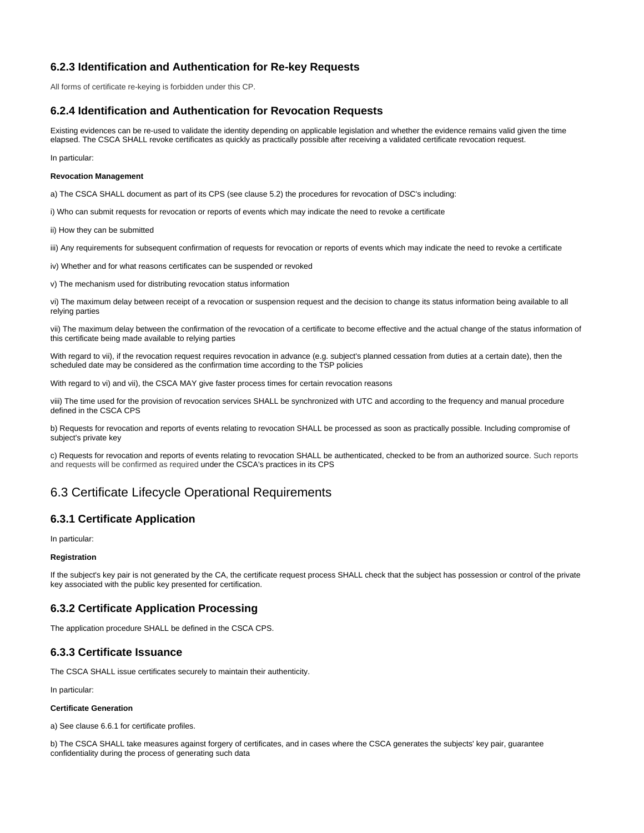# **6.2.3 Identification and Authentication for Re-key Requests**

All forms of certificate re-keying is forbidden under this CP.

## <span id="page-8-0"></span>**6.2.4 Identification and Authentication for Revocation Requests**

Existing evidences can be re-used to validate the identity depending on applicable legislation and whether the evidence remains valid given the time elapsed. The CSCA SHALL revoke certificates as quickly as practically possible after receiving a validated certificate revocation request.

In particular:

#### **Revocation Management**

a) The CSCA SHALL document as part of its CPS (see clause 5.2) the procedures for revocation of DSC's including:

i) Who can submit requests for revocation or reports of events which may indicate the need to revoke a certificate

ii) How they can be submitted

iii) Any requirements for subsequent confirmation of requests for revocation or reports of events which may indicate the need to revoke a certificate

iv) Whether and for what reasons certificates can be suspended or revoked

v) The mechanism used for distributing revocation status information

vi) The maximum delay between receipt of a revocation or suspension request and the decision to change its status information being available to all relying parties

vii) The maximum delay between the confirmation of the revocation of a certificate to become effective and the actual change of the status information of this certificate being made available to relying parties

With regard to vii), if the revocation request requires revocation in advance (e.g. subject's planned cessation from duties at a certain date), then the scheduled date may be considered as the confirmation time according to the TSP policies

With regard to vi) and vii), the CSCA MAY give faster process times for certain revocation reasons

viii) The time used for the provision of revocation services SHALL be synchronized with UTC and according to the frequency and manual procedure defined in the CSCA CPS

b) Requests for revocation and reports of events relating to revocation SHALL be processed as soon as practically possible. Including compromise of subject's private key

c) Requests for revocation and reports of events relating to revocation SHALL be authenticated, checked to be from an authorized source. Such reports and requests will be confirmed as required under the CSCA's practices in its CPS

# <span id="page-8-1"></span>6.3 Certificate Lifecycle Operational Requirements

## <span id="page-8-2"></span>**6.3.1 Certificate Application**

In particular:

#### **Registration**

If the subject's key pair is not generated by the CA, the certificate request process SHALL check that the subject has possession or control of the private key associated with the public key presented for certification.

## <span id="page-8-3"></span>**6.3.2 Certificate Application Processing**

The application procedure SHALL be defined in the CSCA CPS.

#### <span id="page-8-4"></span>**6.3.3 Certificate Issuance**

The CSCA SHALL issue certificates securely to maintain their authenticity.

In particular:

#### **Certificate Generation**

a) See clause 6.6.1 for certificate profiles.

b) The CSCA SHALL take measures against forgery of certificates, and in cases where the CSCA generates the subjects' key pair, guarantee confidentiality during the process of generating such data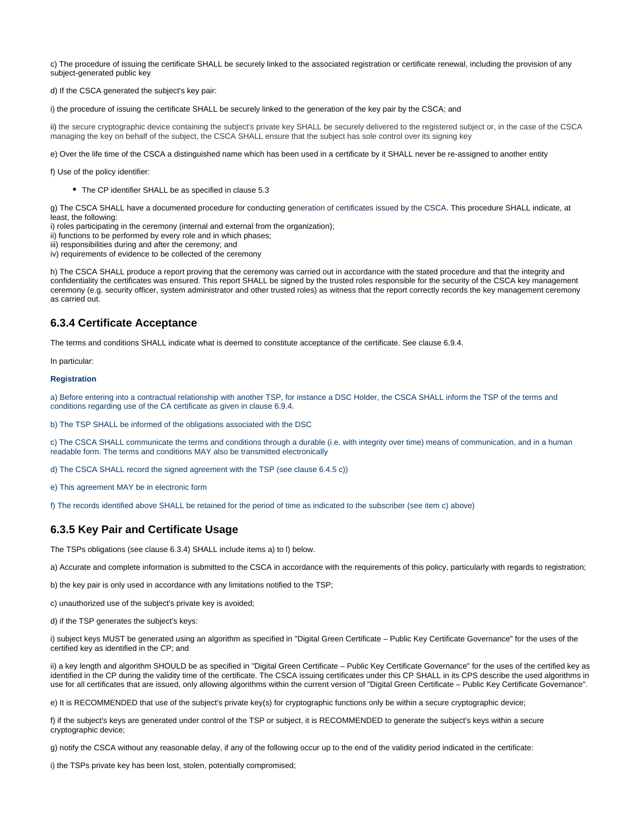c) The procedure of issuing the certificate SHALL be securely linked to the associated registration or certificate renewal, including the provision of any subject-generated public key

d) If the CSCA generated the subject's key pair:

i) the procedure of issuing the certificate SHALL be securely linked to the generation of the key pair by the CSCA; and

ii) the secure cryptographic device containing the subject's private key SHALL be securely delivered to the registered subject or, in the case of the CSCA managing the key on behalf of the subject, the CSCA SHALL ensure that the subject has sole control over its signing key

e) Over the life time of the CSCA a distinguished name which has been used in a certificate by it SHALL never be re-assigned to another entity

f) Use of the policy identifier:

The CP identifier SHALL be as specified in clause 5.3

g) The CSCA SHALL have a documented procedure for conducting generation of certificates issued by the CSCA. This procedure SHALL indicate, at least, the following:

i) roles participating in the ceremony (internal and external from the organization);

ii) functions to be performed by every role and in which phases;

iii) responsibilities during and after the ceremony; and

iv) requirements of evidence to be collected of the ceremony

h) The CSCA SHALL produce a report proving that the ceremony was carried out in accordance with the stated procedure and that the integrity and confidentiality the certificates was ensured. This report SHALL be signed by the trusted roles responsible for the security of the CSCA key management ceremony (e.g. security officer, system administrator and other trusted roles) as witness that the report correctly records the key management ceremony as carried out.

### <span id="page-9-0"></span>**6.3.4 Certificate Acceptance**

The terms and conditions SHALL indicate what is deemed to constitute acceptance of the certificate. See clause 6.9.4.

In particular:

#### **Registration**

a) Before entering into a contractual relationship with another TSP, for instance a DSC Holder, the CSCA SHALL inform the TSP of the terms and conditions regarding use of the CA certificate as given in clause 6.9.4.

b) The TSP SHALL be informed of the obligations associated with the DSC

c) The CSCA SHALL communicate the terms and conditions through a durable (i.e. with integrity over time) means of communication, and in a human readable form. The terms and conditions MAY also be transmitted electronically

d) The CSCA SHALL record the signed agreement with the TSP (see clause 6.4.5 c))

e) This agreement MAY be in electronic form

f) The records identified above SHALL be retained for the period of time as indicated to the subscriber (see item c) above)

## <span id="page-9-1"></span>**6.3.5 Key Pair and Certificate Usage**

The TSPs obligations (see clause 6.3.4) SHALL include items a) to l) below.

a) Accurate and complete information is submitted to the CSCA in accordance with the requirements of this policy, particularly with regards to registration;

b) the key pair is only used in accordance with any limitations notified to the TSP;

c) unauthorized use of the subject's private key is avoided;

d) if the TSP generates the subject's keys:

i) subject keys MUST be generated using an algorithm as specified in "Digital Green Certificate – Public Key Certificate Governance" for the uses of the certified key as identified in the CP; and

ii) a key length and algorithm SHOULD be as specified in "Digital Green Certificate – Public Key Certificate Governance" for the uses of the certified key as identified in the CP during the validity time of the certificate. The CSCA issuing certificates under this CP SHALL in its CPS describe the used algorithms in use for all certificates that are issued, only allowing algorithms within the current version of "Digital Green Certificate – Public Key Certificate Governance".

e) It is RECOMMENDED that use of the subject's private key(s) for cryptographic functions only be within a secure cryptographic device;

f) if the subject's keys are generated under control of the TSP or subject, it is RECOMMENDED to generate the subject's keys within a secure cryptographic device;

g) notify the CSCA without any reasonable delay, if any of the following occur up to the end of the validity period indicated in the certificate:

i) the TSPs private key has been lost, stolen, potentially compromised;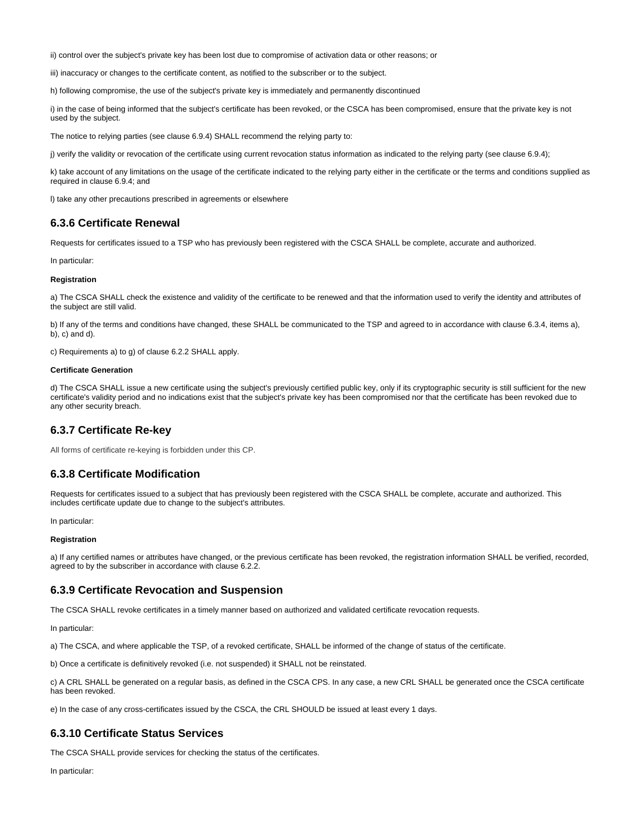ii) control over the subject's private key has been lost due to compromise of activation data or other reasons; or

iii) inaccuracy or changes to the certificate content, as notified to the subscriber or to the subject.

h) following compromise, the use of the subject's private key is immediately and permanently discontinued

i) in the case of being informed that the subject's certificate has been revoked, or the CSCA has been compromised, ensure that the private key is not used by the subject.

The notice to relying parties (see clause 6.9.4) SHALL recommend the relying party to:

j) verify the validity or revocation of the certificate using current revocation status information as indicated to the relying party (see clause 6.9.4);

k) take account of any limitations on the usage of the certificate indicated to the relying party either in the certificate or the terms and conditions supplied as required in clause 6.9.4; and

l) take any other precautions prescribed in agreements or elsewhere

### <span id="page-10-0"></span>**6.3.6 Certificate Renewal**

Requests for certificates issued to a TSP who has previously been registered with the CSCA SHALL be complete, accurate and authorized.

In particular:

#### **Registration**

a) The CSCA SHALL check the existence and validity of the certificate to be renewed and that the information used to verify the identity and attributes of the subject are still valid.

b) If any of the terms and conditions have changed, these SHALL be communicated to the TSP and agreed to in accordance with clause 6.3.4, items a), b), c) and d).

c) Requirements a) to g) of clause 6.2.2 SHALL apply.

#### **Certificate Generation**

d) The CSCA SHALL issue a new certificate using the subject's previously certified public key, only if its cryptographic security is still sufficient for the new certificate's validity period and no indications exist that the subject's private key has been compromised nor that the certificate has been revoked due to any other security breach.

#### <span id="page-10-1"></span>**6.3.7 Certificate Re-key**

All forms of certificate re-keying is forbidden under this CP.

## <span id="page-10-2"></span>**6.3.8 Certificate Modification**

Requests for certificates issued to a subject that has previously been registered with the CSCA SHALL be complete, accurate and authorized. This includes certificate update due to change to the subject's attributes.

In particular:

#### **Registration**

a) If any certified names or attributes have changed, or the previous certificate has been revoked, the registration information SHALL be verified, recorded, agreed to by the subscriber in accordance with clause 6.2.2.

#### <span id="page-10-3"></span>**6.3.9 Certificate Revocation and Suspension**

The CSCA SHALL revoke certificates in a timely manner based on authorized and validated certificate revocation requests.

In particular:

a) The CSCA, and where applicable the TSP, of a revoked certificate, SHALL be informed of the change of status of the certificate.

b) Once a certificate is definitively revoked (i.e. not suspended) it SHALL not be reinstated.

c) A CRL SHALL be generated on a regular basis, as defined in the CSCA CPS. In any case, a new CRL SHALL be generated once the CSCA certificate has been revoked.

e) In the case of any cross-certificates issued by the CSCA, the CRL SHOULD be issued at least every 1 days.

#### <span id="page-10-4"></span>**6.3.10 Certificate Status Services**

The CSCA SHALL provide services for checking the status of the certificates.

In particular: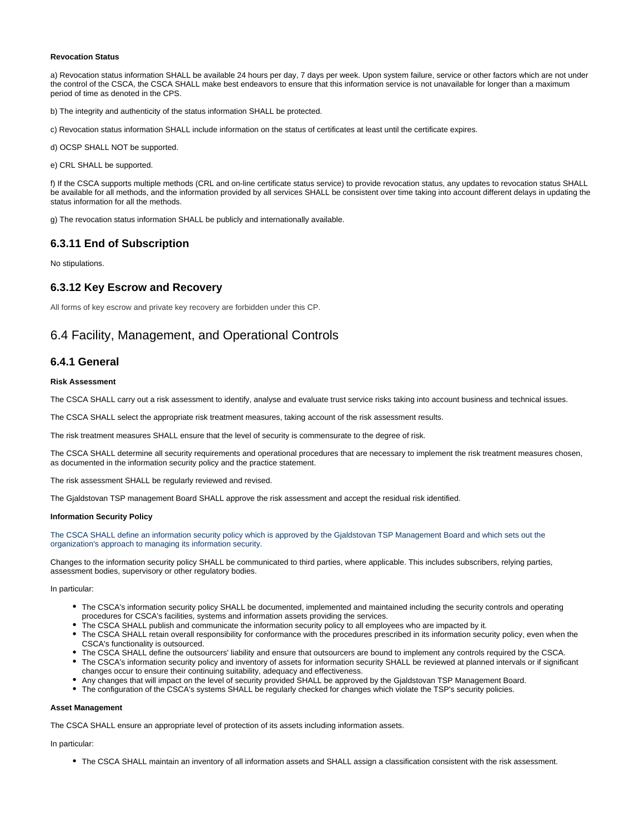#### **Revocation Status**

a) Revocation status information SHALL be available 24 hours per day, 7 days per week. Upon system failure, service or other factors which are not under the control of the CSCA, the CSCA SHALL make best endeavors to ensure that this information service is not unavailable for longer than a maximum period of time as denoted in the CPS.

b) The integrity and authenticity of the status information SHALL be protected.

c) Revocation status information SHALL include information on the status of certificates at least until the certificate expires.

d) OCSP SHALL NOT be supported.

e) CRL SHALL be supported.

f) If the CSCA supports multiple methods (CRL and on-line certificate status service) to provide revocation status, any updates to revocation status SHALL be available for all methods, and the information provided by all services SHALL be consistent over time taking into account different delays in updating the status information for all the methods.

g) The revocation status information SHALL be publicly and internationally available.

## <span id="page-11-0"></span>**6.3.11 End of Subscription**

No stipulations.

### <span id="page-11-1"></span>**6.3.12 Key Escrow and Recovery**

All forms of key escrow and private key recovery are forbidden under this CP.

# <span id="page-11-2"></span>6.4 Facility, Management, and Operational Controls

#### <span id="page-11-3"></span>**6.4.1 General**

#### **Risk Assessment**

The CSCA SHALL carry out a risk assessment to identify, analyse and evaluate trust service risks taking into account business and technical issues.

The CSCA SHALL select the appropriate risk treatment measures, taking account of the risk assessment results.

The risk treatment measures SHALL ensure that the level of security is commensurate to the degree of risk.

The CSCA SHALL determine all security requirements and operational procedures that are necessary to implement the risk treatment measures chosen, as documented in the information security policy and the practice statement.

The risk assessment SHALL be regularly reviewed and revised.

The Gjaldstovan TSP management Board SHALL approve the risk assessment and accept the residual risk identified.

#### **Information Security Policy**

The CSCA SHALL define an information security policy which is approved by the Gjaldstovan TSP Management Board and which sets out the organization's approach to managing its information security.

Changes to the information security policy SHALL be communicated to third parties, where applicable. This includes subscribers, relying parties, assessment bodies, supervisory or other regulatory bodies.

In particular:

- The CSCA's information security policy SHALL be documented, implemented and maintained including the security controls and operating procedures for CSCA's facilities, systems and information assets providing the services.
- The CSCA SHALL publish and communicate the information security policy to all employees who are impacted by it.
- The CSCA SHALL retain overall responsibility for conformance with the procedures prescribed in its information security policy, even when the CSCA's functionality is outsourced.
- The CSCA SHALL define the outsourcers' liability and ensure that outsourcers are bound to implement any controls required by the CSCA.
- The CSCA's information security policy and inventory of assets for information security SHALL be reviewed at planned intervals or if significant changes occur to ensure their continuing suitability, adequacy and effectiveness.
- Any changes that will impact on the level of security provided SHALL be approved by the Gjaldstovan TSP Management Board.
- The configuration of the CSCA's systems SHALL be regularly checked for changes which violate the TSP's security policies.

#### **Asset Management**

The CSCA SHALL ensure an appropriate level of protection of its assets including information assets.

In particular:

The CSCA SHALL maintain an inventory of all information assets and SHALL assign a classification consistent with the risk assessment.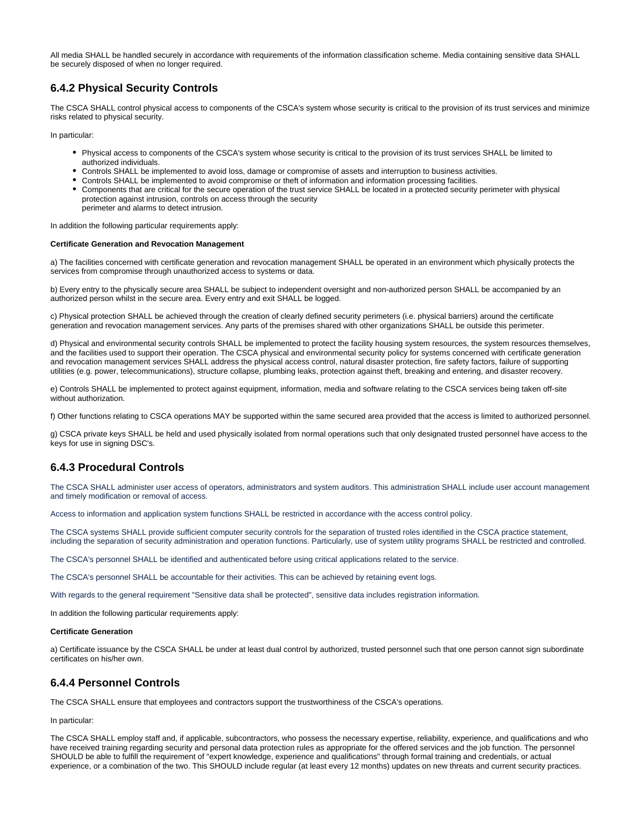All media SHALL be handled securely in accordance with requirements of the information classification scheme. Media containing sensitive data SHALL be securely disposed of when no longer required.

## <span id="page-12-0"></span>**6.4.2 Physical Security Controls**

The CSCA SHALL control physical access to components of the CSCA's system whose security is critical to the provision of its trust services and minimize risks related to physical security.

In particular:

- Physical access to components of the CSCA's system whose security is critical to the provision of its trust services SHALL be limited to authorized individuals.
- Controls SHALL be implemented to avoid loss, damage or compromise of assets and interruption to business activities.
- Controls SHALL be implemented to avoid compromise or theft of information and information processing facilities.
- Components that are critical for the secure operation of the trust service SHALL be located in a protected security perimeter with physical protection against intrusion, controls on access through the security perimeter and alarms to detect intrusion.

In addition the following particular requirements apply:

#### **Certificate Generation and Revocation Management**

a) The facilities concerned with certificate generation and revocation management SHALL be operated in an environment which physically protects the services from compromise through unauthorized access to systems or data.

b) Every entry to the physically secure area SHALL be subject to independent oversight and non-authorized person SHALL be accompanied by an authorized person whilst in the secure area. Every entry and exit SHALL be logged.

c) Physical protection SHALL be achieved through the creation of clearly defined security perimeters (i.e. physical barriers) around the certificate generation and revocation management services. Any parts of the premises shared with other organizations SHALL be outside this perimeter.

d) Physical and environmental security controls SHALL be implemented to protect the facility housing system resources, the system resources themselves, and the facilities used to support their operation. The CSCA physical and environmental security policy for systems concerned with certificate generation and revocation management services SHALL address the physical access control, natural disaster protection, fire safety factors, failure of supporting utilities (e.g. power, telecommunications), structure collapse, plumbing leaks, protection against theft, breaking and entering, and disaster recovery.

e) Controls SHALL be implemented to protect against equipment, information, media and software relating to the CSCA services being taken off-site without authorization.

f) Other functions relating to CSCA operations MAY be supported within the same secured area provided that the access is limited to authorized personnel.

g) CSCA private keys SHALL be held and used physically isolated from normal operations such that only designated trusted personnel have access to the keys for use in signing DSC's.

## <span id="page-12-1"></span>**6.4.3 Procedural Controls**

The CSCA SHALL administer user access of operators, administrators and system auditors. This administration SHALL include user account management and timely modification or removal of access.

Access to information and application system functions SHALL be restricted in accordance with the access control policy.

The CSCA systems SHALL provide sufficient computer security controls for the separation of trusted roles identified in the CSCA practice statement, including the separation of security administration and operation functions. Particularly, use of system utility programs SHALL be restricted and controlled.

The CSCA's personnel SHALL be identified and authenticated before using critical applications related to the service.

The CSCA's personnel SHALL be accountable for their activities. This can be achieved by retaining event logs.

With regards to the general requirement "Sensitive data shall be protected", sensitive data includes registration information.

In addition the following particular requirements apply:

#### **Certificate Generation**

a) Certificate issuance by the CSCA SHALL be under at least dual control by authorized, trusted personnel such that one person cannot sign subordinate certificates on his/her own.

## <span id="page-12-2"></span>**6.4.4 Personnel Controls**

The CSCA SHALL ensure that employees and contractors support the trustworthiness of the CSCA's operations.

In particular:

The CSCA SHALL employ staff and, if applicable, subcontractors, who possess the necessary expertise, reliability, experience, and qualifications and who have received training regarding security and personal data protection rules as appropriate for the offered services and the job function. The personnel SHOULD be able to fulfill the requirement of "expert knowledge, experience and qualifications" through formal training and credentials, or actual experience, or a combination of the two. This SHOULD include regular (at least every 12 months) updates on new threats and current security practices.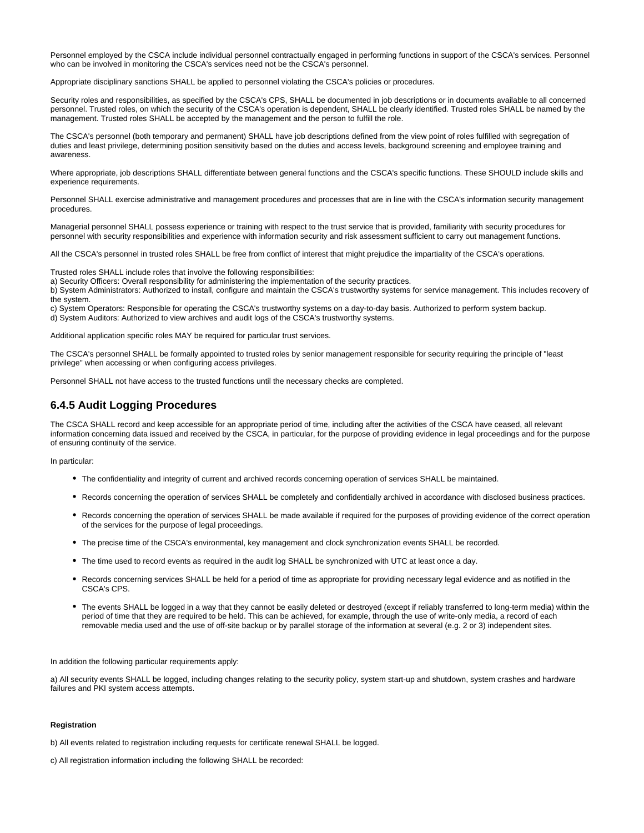Personnel employed by the CSCA include individual personnel contractually engaged in performing functions in support of the CSCA's services. Personnel who can be involved in monitoring the CSCA's services need not be the CSCA's personnel.

Appropriate disciplinary sanctions SHALL be applied to personnel violating the CSCA's policies or procedures.

Security roles and responsibilities, as specified by the CSCA's CPS, SHALL be documented in job descriptions or in documents available to all concerned personnel. Trusted roles, on which the security of the CSCA's operation is dependent, SHALL be clearly identified. Trusted roles SHALL be named by the management. Trusted roles SHALL be accepted by the management and the person to fulfill the role.

The CSCA's personnel (both temporary and permanent) SHALL have job descriptions defined from the view point of roles fulfilled with segregation of duties and least privilege, determining position sensitivity based on the duties and access levels, background screening and employee training and awareness.

Where appropriate, job descriptions SHALL differentiate between general functions and the CSCA's specific functions. These SHOULD include skills and experience requirements.

Personnel SHALL exercise administrative and management procedures and processes that are in line with the CSCA's information security management procedures.

Managerial personnel SHALL possess experience or training with respect to the trust service that is provided, familiarity with security procedures for personnel with security responsibilities and experience with information security and risk assessment sufficient to carry out management functions.

All the CSCA's personnel in trusted roles SHALL be free from conflict of interest that might prejudice the impartiality of the CSCA's operations.

Trusted roles SHALL include roles that involve the following responsibilities:

a) Security Officers: Overall responsibility for administering the implementation of the security practices.

b) System Administrators: Authorized to install, configure and maintain the CSCA's trustworthy systems for service management. This includes recovery of the system.

c) System Operators: Responsible for operating the CSCA's trustworthy systems on a day-to-day basis. Authorized to perform system backup. d) System Auditors: Authorized to view archives and audit logs of the CSCA's trustworthy systems.

Additional application specific roles MAY be required for particular trust services.

The CSCA's personnel SHALL be formally appointed to trusted roles by senior management responsible for security requiring the principle of "least privilege" when accessing or when configuring access privileges.

Personnel SHALL not have access to the trusted functions until the necessary checks are completed.

#### <span id="page-13-0"></span>**6.4.5 Audit Logging Procedures**

The CSCA SHALL record and keep accessible for an appropriate period of time, including after the activities of the CSCA have ceased, all relevant information concerning data issued and received by the CSCA, in particular, for the purpose of providing evidence in legal proceedings and for the purpose of ensuring continuity of the service.

In particular:

- The confidentiality and integrity of current and archived records concerning operation of services SHALL be maintained.
- Records concerning the operation of services SHALL be completely and confidentially archived in accordance with disclosed business practices.
- Records concerning the operation of services SHALL be made available if required for the purposes of providing evidence of the correct operation of the services for the purpose of legal proceedings.
- The precise time of the CSCA's environmental, key management and clock synchronization events SHALL be recorded.
- The time used to record events as required in the audit log SHALL be synchronized with UTC at least once a day.
- Records concerning services SHALL be held for a period of time as appropriate for providing necessary legal evidence and as notified in the CSCA's CPS.
- The events SHALL be logged in a way that they cannot be easily deleted or destroyed (except if reliably transferred to long-term media) within the period of time that they are required to be held. This can be achieved, for example, through the use of write-only media, a record of each removable media used and the use of off-site backup or by parallel storage of the information at several (e.g. 2 or 3) independent sites.

In addition the following particular requirements apply:

a) All security events SHALL be logged, including changes relating to the security policy, system start-up and shutdown, system crashes and hardware failures and PKI system access attempts.

#### **Registration**

b) All events related to registration including requests for certificate renewal SHALL be logged.

c) All registration information including the following SHALL be recorded: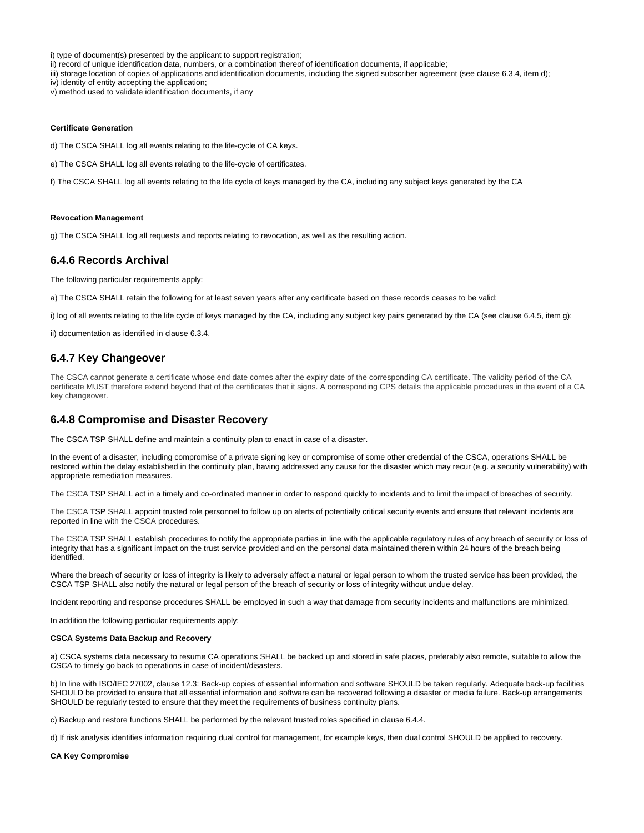i) type of document(s) presented by the applicant to support registration;

ii) record of unique identification data, numbers, or a combination thereof of identification documents, if applicable;

iii) storage location of copies of applications and identification documents, including the signed subscriber agreement (see clause 6.3.4, item d);

iv) identity of entity accepting the application;

v) method used to validate identification documents, if any

#### **Certificate Generation**

d) The CSCA SHALL log all events relating to the life-cycle of CA keys.

e) The CSCA SHALL log all events relating to the life-cycle of certificates.

f) The CSCA SHALL log all events relating to the life cycle of keys managed by the CA, including any subject keys generated by the CA

#### **Revocation Management**

g) The CSCA SHALL log all requests and reports relating to revocation, as well as the resulting action.

#### <span id="page-14-0"></span>**6.4.6 Records Archival**

The following particular requirements apply:

a) The CSCA SHALL retain the following for at least seven years after any certificate based on these records ceases to be valid:

i) log of all events relating to the life cycle of keys managed by the CA, including any subject key pairs generated by the CA (see clause 6.4.5, item g);

ii) documentation as identified in clause 6.3.4.

#### <span id="page-14-1"></span>**6.4.7 Key Changeover**

The CSCA cannot generate a certificate whose end date comes after the expiry date of the corresponding CA certificate. The validity period of the CA certificate MUST therefore extend beyond that of the certificates that it signs. A corresponding CPS details the applicable procedures in the event of a CA key changeover.

#### <span id="page-14-2"></span>**6.4.8 Compromise and Disaster Recovery**

The CSCA TSP SHALL define and maintain a continuity plan to enact in case of a disaster.

In the event of a disaster, including compromise of a private signing key or compromise of some other credential of the CSCA, operations SHALL be restored within the delay established in the continuity plan, having addressed any cause for the disaster which may recur (e.g. a security vulnerability) with appropriate remediation measures.

The CSCA TSP SHALL act in a timely and co-ordinated manner in order to respond quickly to incidents and to limit the impact of breaches of security.

The CSCA TSP SHALL appoint trusted role personnel to follow up on alerts of potentially critical security events and ensure that relevant incidents are reported in line with the CSCA procedures.

The CSCA TSP SHALL establish procedures to notify the appropriate parties in line with the applicable regulatory rules of any breach of security or loss of integrity that has a significant impact on the trust service provided and on the personal data maintained therein within 24 hours of the breach being identified.

Where the breach of security or loss of integrity is likely to adversely affect a natural or legal person to whom the trusted service has been provided, the CSCA TSP SHALL also notify the natural or legal person of the breach of security or loss of integrity without undue delay.

Incident reporting and response procedures SHALL be employed in such a way that damage from security incidents and malfunctions are minimized.

In addition the following particular requirements apply:

#### **CSCA Systems Data Backup and Recovery**

a) CSCA systems data necessary to resume CA operations SHALL be backed up and stored in safe places, preferably also remote, suitable to allow the CSCA to timely go back to operations in case of incident/disasters.

b) In line with ISO/IEC 27002, clause 12.3: Back-up copies of essential information and software SHOULD be taken regularly. Adequate back-up facilities SHOULD be provided to ensure that all essential information and software can be recovered following a disaster or media failure. Back-up arrangements SHOULD be regularly tested to ensure that they meet the requirements of business continuity plans.

c) Backup and restore functions SHALL be performed by the relevant trusted roles specified in clause 6.4.4.

d) If risk analysis identifies information requiring dual control for management, for example keys, then dual control SHOULD be applied to recovery.

#### **CA Key Compromise**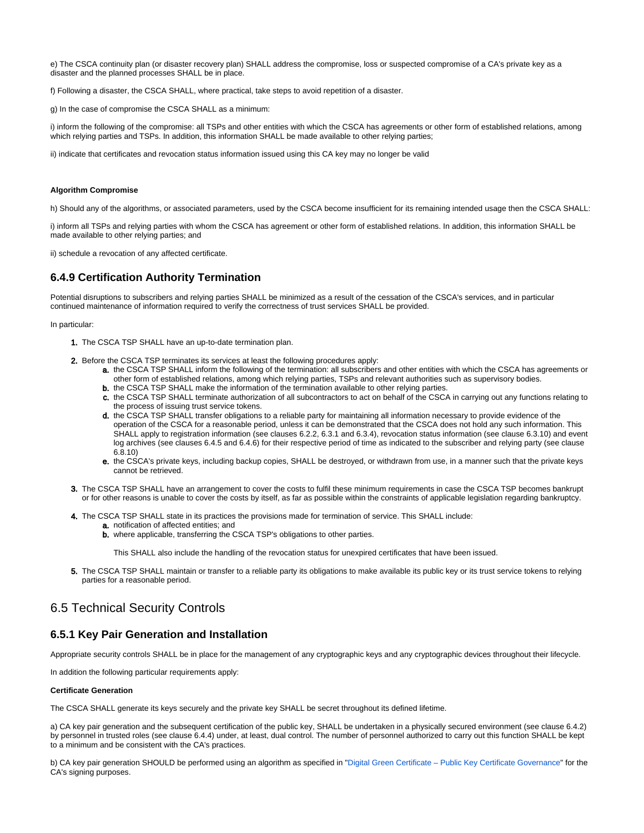e) The CSCA continuity plan (or disaster recovery plan) SHALL address the compromise, loss or suspected compromise of a CA's private key as a disaster and the planned processes SHALL be in place.

f) Following a disaster, the CSCA SHALL, where practical, take steps to avoid repetition of a disaster.

g) In the case of compromise the CSCA SHALL as a minimum:

i) inform the following of the compromise: all TSPs and other entities with which the CSCA has agreements or other form of established relations, among which relying parties and TSPs. In addition, this information SHALL be made available to other relying parties;

ii) indicate that certificates and revocation status information issued using this CA key may no longer be valid

#### **Algorithm Compromise**

h) Should any of the algorithms, or associated parameters, used by the CSCA become insufficient for its remaining intended usage then the CSCA SHALL:

i) inform all TSPs and relying parties with whom the CSCA has agreement or other form of established relations. In addition, this information SHALL be made available to other relying parties; and

ii) schedule a revocation of any affected certificate.

### <span id="page-15-0"></span>**6.4.9 Certification Authority Termination**

Potential disruptions to subscribers and relying parties SHALL be minimized as a result of the cessation of the CSCA's services, and in particular continued maintenance of information required to verify the correctness of trust services SHALL be provided.

In particular:

- 1. The CSCA TSP SHALL have an up-to-date termination plan.
- 2. Before the CSCA TSP terminates its services at least the following procedures apply:
	- a. the CSCA TSP SHALL inform the following of the termination: all subscribers and other entities with which the CSCA has agreements or other form of established relations, among which relying parties, TSPs and relevant authorities such as supervisory bodies.
	- **b.** the CSCA TSP SHALL make the information of the termination available to other relying parties.
	- c. the CSCA TSP SHALL terminate authorization of all subcontractors to act on behalf of the CSCA in carrying out any functions relating to the process of issuing trust service tokens.
	- d. the CSCA TSP SHALL transfer obligations to a reliable party for maintaining all information necessary to provide evidence of the operation of the CSCA for a reasonable period, unless it can be demonstrated that the CSCA does not hold any such information. This SHALL apply to registration information (see clauses 6.2.2, 6.3.1 and 6.3.4), revocation status information (see clause 6.3.10) and event log archives (see clauses 6.4.5 and 6.4.6) for their respective period of time as indicated to the subscriber and relying party (see clause 6.8.10)
	- e. the CSCA's private keys, including backup copies, SHALL be destroyed, or withdrawn from use, in a manner such that the private keys cannot be retrieved.
- 3. The CSCA TSP SHALL have an arrangement to cover the costs to fulfil these minimum requirements in case the CSCA TSP becomes bankrupt or for other reasons is unable to cover the costs by itself, as far as possible within the constraints of applicable legislation regarding bankruptcy.
- 4. The CSCA TSP SHALL state in its practices the provisions made for termination of service. This SHALL include:
	- a. notification of affected entities; and
	- b. where applicable, transferring the CSCA TSP's obligations to other parties.

This SHALL also include the handling of the revocation status for unexpired certificates that have been issued.

5. The CSCA TSP SHALL maintain or transfer to a reliable party its obligations to make available its public key or its trust service tokens to relying parties for a reasonable period.

# <span id="page-15-1"></span>6.5 Technical Security Controls

#### <span id="page-15-2"></span>**6.5.1 Key Pair Generation and Installation**

Appropriate security controls SHALL be in place for the management of any cryptographic keys and any cryptographic devices throughout their lifecycle.

In addition the following particular requirements apply:

#### **Certificate Generation**

The CSCA SHALL generate its keys securely and the private key SHALL be secret throughout its defined lifetime.

a) CA key pair generation and the subsequent certification of the public key, SHALL be undertaken in a physically secured environment (see clause 6.4.2) by personnel in trusted roles (see clause 6.4.4) under, at least, dual control. The number of personnel authorized to carry out this function SHALL be kept to a minimum and be consistent with the CA's practices.

b) CA key pair generation SHOULD be performed using an algorithm as specified in "[Digital Green Certificate – Public Key Certificate Governance"](https://github.com/eu-digital-green-certificates/dgc-overview/blob/main/guides/certificate-governance.md) for the CA's signing purposes.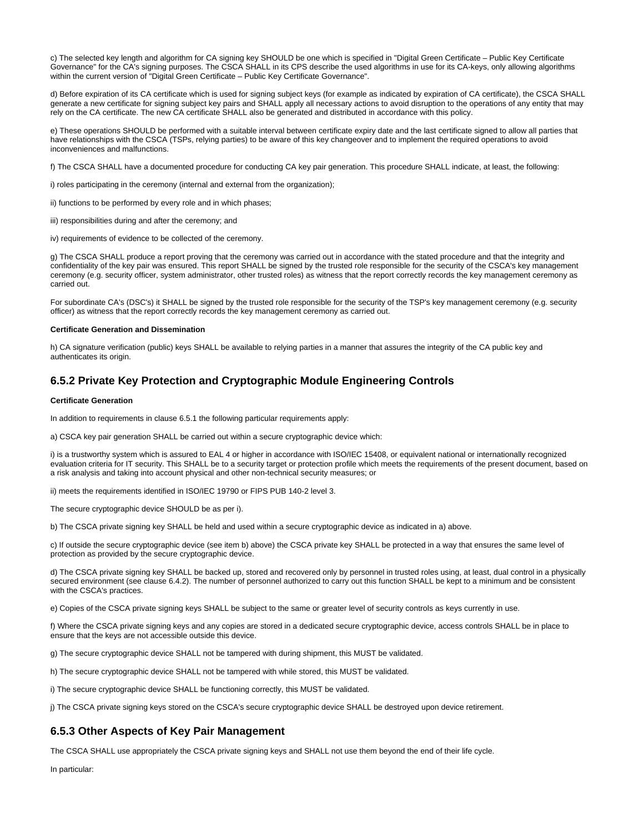c) The selected key length and algorithm for CA signing key SHOULD be one which is specified in "Digital Green Certificate – Public Key Certificate Governance" for the CA's signing purposes. The CSCA SHALL in its CPS describe the used algorithms in use for its CA-keys, only allowing algorithms within the current version of "Digital Green Certificate – Public Key Certificate Governance".

d) Before expiration of its CA certificate which is used for signing subject keys (for example as indicated by expiration of CA certificate), the CSCA SHALL generate a new certificate for signing subject key pairs and SHALL apply all necessary actions to avoid disruption to the operations of any entity that may rely on the CA certificate. The new CA certificate SHALL also be generated and distributed in accordance with this policy.

e) These operations SHOULD be performed with a suitable interval between certificate expiry date and the last certificate signed to allow all parties that have relationships with the CSCA (TSPs, relying parties) to be aware of this key changeover and to implement the required operations to avoid inconveniences and malfunctions.

f) The CSCA SHALL have a documented procedure for conducting CA key pair generation. This procedure SHALL indicate, at least, the following:

i) roles participating in the ceremony (internal and external from the organization);

ii) functions to be performed by every role and in which phases;

iii) responsibilities during and after the ceremony; and

iv) requirements of evidence to be collected of the ceremony.

g) The CSCA SHALL produce a report proving that the ceremony was carried out in accordance with the stated procedure and that the integrity and confidentiality of the key pair was ensured. This report SHALL be signed by the trusted role responsible for the security of the CSCA's key management ceremony (e.g. security officer, system administrator, other trusted roles) as witness that the report correctly records the key management ceremony as carried out.

For subordinate CA's (DSC's) it SHALL be signed by the trusted role responsible for the security of the TSP's key management ceremony (e.g. security officer) as witness that the report correctly records the key management ceremony as carried out.

#### **Certificate Generation and Dissemination**

h) CA signature verification (public) keys SHALL be available to relying parties in a manner that assures the integrity of the CA public key and authenticates its origin.

### <span id="page-16-0"></span>**6.5.2 Private Key Protection and Cryptographic Module Engineering Controls**

#### **Certificate Generation**

In addition to requirements in clause 6.5.1 the following particular requirements apply:

a) CSCA key pair generation SHALL be carried out within a secure cryptographic device which:

i) is a trustworthy system which is assured to EAL 4 or higher in accordance with ISO/IEC 15408, or equivalent national or internationally recognized evaluation criteria for IT security. This SHALL be to a security target or protection profile which meets the requirements of the present document, based on a risk analysis and taking into account physical and other non-technical security measures; or

ii) meets the requirements identified in ISO/IEC 19790 or FIPS PUB 140-2 level 3.

The secure cryptographic device SHOULD be as per i).

b) The CSCA private signing key SHALL be held and used within a secure cryptographic device as indicated in a) above.

c) If outside the secure cryptographic device (see item b) above) the CSCA private key SHALL be protected in a way that ensures the same level of protection as provided by the secure cryptographic device.

d) The CSCA private signing key SHALL be backed up, stored and recovered only by personnel in trusted roles using, at least, dual control in a physically secured environment (see clause 6.4.2). The number of personnel authorized to carry out this function SHALL be kept to a minimum and be consistent with the CSCA's practices.

e) Copies of the CSCA private signing keys SHALL be subject to the same or greater level of security controls as keys currently in use.

f) Where the CSCA private signing keys and any copies are stored in a dedicated secure cryptographic device, access controls SHALL be in place to ensure that the keys are not accessible outside this device.

g) The secure cryptographic device SHALL not be tampered with during shipment, this MUST be validated.

h) The secure cryptographic device SHALL not be tampered with while stored, this MUST be validated.

i) The secure cryptographic device SHALL be functioning correctly, this MUST be validated.

j) The CSCA private signing keys stored on the CSCA's secure cryptographic device SHALL be destroyed upon device retirement.

#### <span id="page-16-1"></span>**6.5.3 Other Aspects of Key Pair Management**

The CSCA SHALL use appropriately the CSCA private signing keys and SHALL not use them beyond the end of their life cycle.

In particular: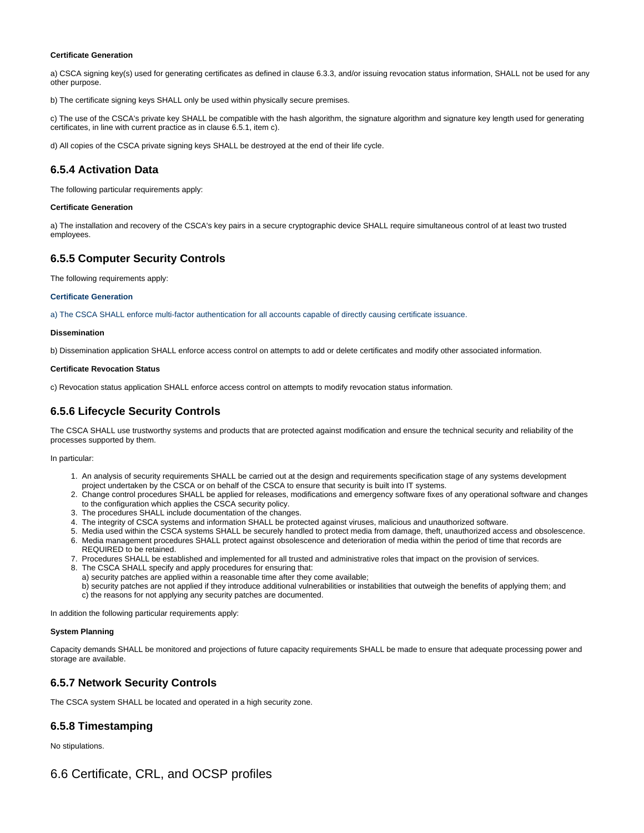#### **Certificate Generation**

a) CSCA signing key(s) used for generating certificates as defined in clause 6.3.3, and/or issuing revocation status information, SHALL not be used for any other purpose.

b) The certificate signing keys SHALL only be used within physically secure premises.

c) The use of the CSCA's private key SHALL be compatible with the hash algorithm, the signature algorithm and signature key length used for generating certificates, in line with current practice as in clause 6.5.1, item c).

d) All copies of the CSCA private signing keys SHALL be destroyed at the end of their life cycle.

## <span id="page-17-0"></span>**6.5.4 Activation Data**

The following particular requirements apply:

#### **Certificate Generation**

a) The installation and recovery of the CSCA's key pairs in a secure cryptographic device SHALL require simultaneous control of at least two trusted employees.

### <span id="page-17-1"></span>**6.5.5 Computer Security Controls**

The following requirements apply:

#### **Certificate Generation**

a) The CSCA SHALL enforce multi-factor authentication for all accounts capable of directly causing certificate issuance.

#### **Dissemination**

b) Dissemination application SHALL enforce access control on attempts to add or delete certificates and modify other associated information.

#### **Certificate Revocation Status**

c) Revocation status application SHALL enforce access control on attempts to modify revocation status information.

# <span id="page-17-2"></span>**6.5.6 Lifecycle Security Controls**

The CSCA SHALL use trustworthy systems and products that are protected against modification and ensure the technical security and reliability of the processes supported by them.

In particular:

- 1. An analysis of security requirements SHALL be carried out at the design and requirements specification stage of any systems development project undertaken by the CSCA or on behalf of the CSCA to ensure that security is built into IT systems.
- 2. Change control procedures SHALL be applied for releases, modifications and emergency software fixes of any operational software and changes to the configuration which applies the CSCA security policy.
- 3. The procedures SHALL include documentation of the changes.
- 4. The integrity of CSCA systems and information SHALL be protected against viruses, malicious and unauthorized software.
- 5. Media used within the CSCA systems SHALL be securely handled to protect media from damage, theft, unauthorized access and obsolescence. 6. Media management procedures SHALL protect against obsolescence and deterioration of media within the period of time that records are
- 7. Procedures SHALL be established and implemented for all trusted and administrative roles that impact on the provision of services. REQUIRED to be retained.
- 8. The CSCA SHALL specify and apply procedures for ensuring that:
- a) security patches are applied within a reasonable time after they come available;
- b) security patches are not applied if they introduce additional vulnerabilities or instabilities that outweigh the benefits of applying them; and c) the reasons for not applying any security patches are documented.

In addition the following particular requirements apply:

#### **System Planning**

Capacity demands SHALL be monitored and projections of future capacity requirements SHALL be made to ensure that adequate processing power and storage are available.

#### <span id="page-17-3"></span>**6.5.7 Network Security Controls**

The CSCA system SHALL be located and operated in a high security zone.

#### <span id="page-17-4"></span>**6.5.8 Timestamping**

<span id="page-17-6"></span><span id="page-17-5"></span>No stipulations.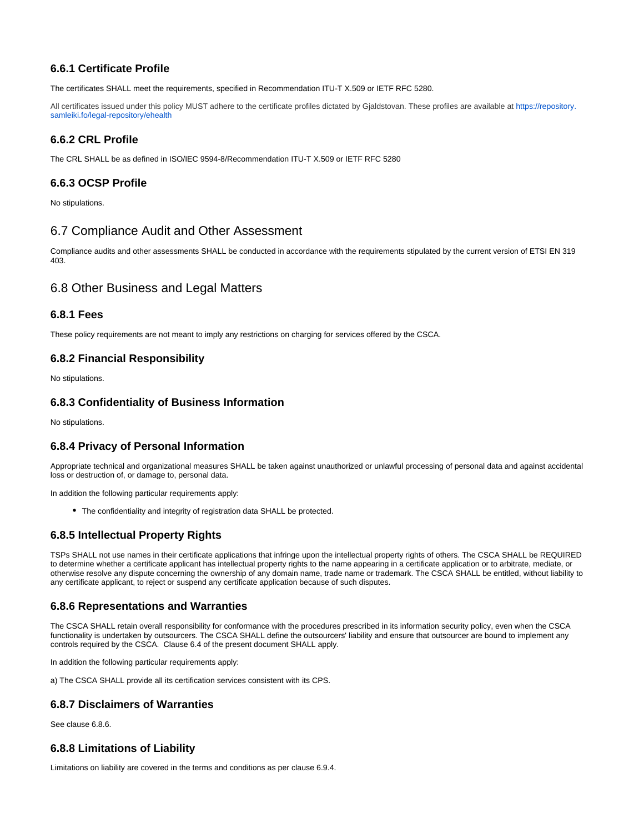# **6.6.1 Certificate Profile**

The certificates SHALL meet the requirements, specified in Recommendation ITU-T X.509 or IETF RFC 5280.

All certificates issued under this policy MUST adhere to the certificate profiles dictated by Gjaldstovan. These profiles are available at [https://repository.](https://repository.samleiki.fo/legal-repository/ehealth) [samleiki.fo/legal-repository/ehealth](https://repository.samleiki.fo/legal-repository/ehealth)

## <span id="page-18-0"></span>**6.6.2 CRL Profile**

The CRL SHALL be as defined in ISO/IEC 9594-8/Recommendation ITU-T X.509 or IETF RFC 5280

# <span id="page-18-1"></span>**6.6.3 OCSP Profile**

No stipulations.

# <span id="page-18-2"></span>6.7 Compliance Audit and Other Assessment

Compliance audits and other assessments SHALL be conducted in accordance with the requirements stipulated by the current version of ETSI EN 319 403.

# <span id="page-18-3"></span>6.8 Other Business and Legal Matters

### <span id="page-18-4"></span>**6.8.1 Fees**

These policy requirements are not meant to imply any restrictions on charging for services offered by the CSCA.

## <span id="page-18-5"></span>**6.8.2 Financial Responsibility**

No stipulations.

## <span id="page-18-6"></span>**6.8.3 Confidentiality of Business Information**

No stipulations.

## <span id="page-18-7"></span>**6.8.4 Privacy of Personal Information**

Appropriate technical and organizational measures SHALL be taken against unauthorized or unlawful processing of personal data and against accidental loss or destruction of, or damage to, personal data.

In addition the following particular requirements apply:

The confidentiality and integrity of registration data SHALL be protected.

# <span id="page-18-8"></span>**6.8.5 Intellectual Property Rights**

TSPs SHALL not use names in their certificate applications that infringe upon the intellectual property rights of others. The CSCA SHALL be REQUIRED to determine whether a certificate applicant has intellectual property rights to the name appearing in a certificate application or to arbitrate, mediate, or otherwise resolve any dispute concerning the ownership of any domain name, trade name or trademark. The CSCA SHALL be entitled, without liability to any certificate applicant, to reject or suspend any certificate application because of such disputes.

## <span id="page-18-9"></span>**6.8.6 Representations and Warranties**

The CSCA SHALL retain overall responsibility for conformance with the procedures prescribed in its information security policy, even when the CSCA functionality is undertaken by outsourcers. The CSCA SHALL define the outsourcers' liability and ensure that outsourcer are bound to implement any controls required by the CSCA. Clause 6.4 of the present document SHALL apply.

In addition the following particular requirements apply:

a) The CSCA SHALL provide all its certification services consistent with its CPS.

## <span id="page-18-10"></span>**6.8.7 Disclaimers of Warranties**

See clause 6.8.6.

## <span id="page-18-11"></span>**6.8.8 Limitations of Liability**

<span id="page-18-12"></span>Limitations on liability are covered in the terms and conditions as per clause 6.9.4.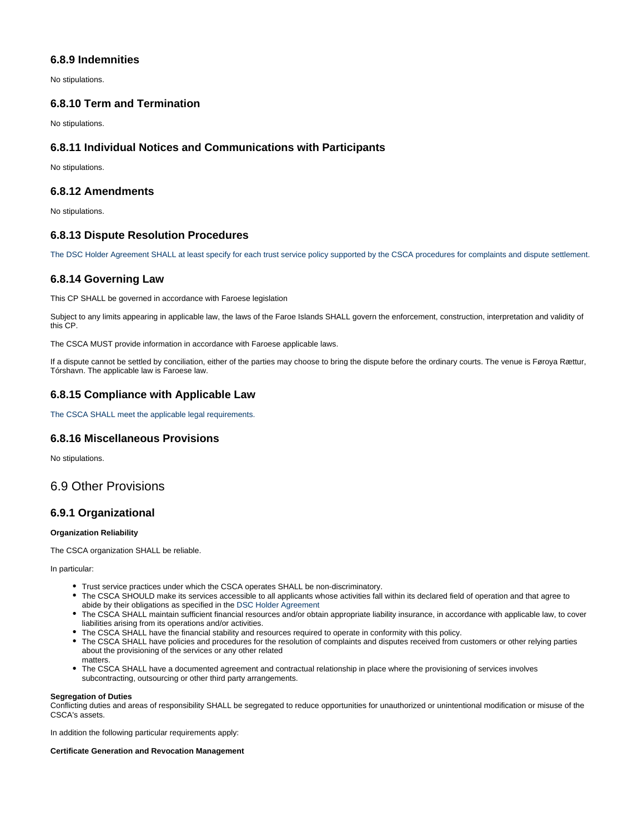# **6.8.9 Indemnities**

No stipulations.

## <span id="page-19-0"></span>**6.8.10 Term and Termination**

No stipulations.

## <span id="page-19-1"></span>**6.8.11 Individual Notices and Communications with Participants**

No stipulations.

## <span id="page-19-2"></span>**6.8.12 Amendments**

No stipulations.

## <span id="page-19-3"></span>**6.8.13 Dispute Resolution Procedures**

The DSC Holder Agreement SHALL at least specify for each trust service policy supported by the CSCA procedures for complaints and dispute settlement.

## <span id="page-19-4"></span>**6.8.14 Governing Law**

This CP SHALL be governed in accordance with Faroese legislation

Subject to any limits appearing in applicable law, the laws of the Faroe Islands SHALL govern the enforcement, construction, interpretation and validity of this CP.

The CSCA MUST provide information in accordance with Faroese applicable laws.

If a dispute cannot be settled by conciliation, either of the parties may choose to bring the dispute before the ordinary courts. The venue is Føroya Rættur, Tórshavn. The applicable law is Faroese law.

## <span id="page-19-5"></span>**6.8.15 Compliance with Applicable Law**

The CSCA SHALL meet the applicable legal requirements.

## <span id="page-19-6"></span>**6.8.16 Miscellaneous Provisions**

No stipulations.

# <span id="page-19-7"></span>6.9 Other Provisions

## <span id="page-19-8"></span>**6.9.1 Organizational**

#### **Organization Reliability**

The CSCA organization SHALL be reliable.

In particular:

- Trust service practices under which the CSCA operates SHALL be non-discriminatory.
- The CSCA SHOULD make its services accessible to all applicants whose activities fall within its declared field of operation and that agree to abide by their obligations as specified in the DSC Holder Agreement
- The CSCA SHALL maintain sufficient financial resources and/or obtain appropriate liability insurance, in accordance with applicable law, to cover liabilities arising from its operations and/or activities.
- The CSCA SHALL have the financial stability and resources required to operate in conformity with this policy.
- The CSCA SHALL have policies and procedures for the resolution of complaints and disputes received from customers or other relying parties about the provisioning of the services or any other related matters.
- The CSCA SHALL have a documented agreement and contractual relationship in place where the provisioning of services involves subcontracting, outsourcing or other third party arrangements.

#### **Segregation of Duties**

Conflicting duties and areas of responsibility SHALL be segregated to reduce opportunities for unauthorized or unintentional modification or misuse of the CSCA's assets.

In addition the following particular requirements apply:

#### **Certificate Generation and Revocation Management**